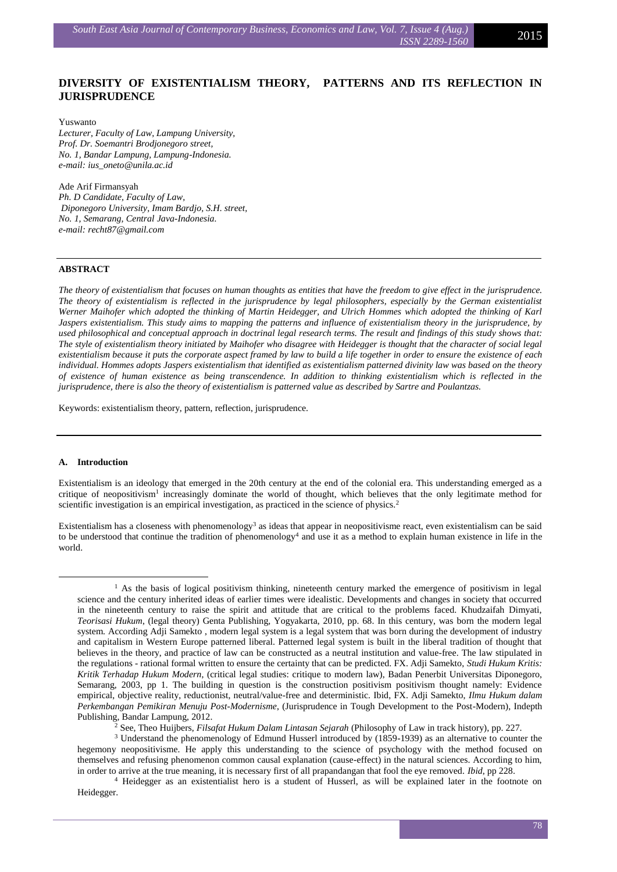# **DIVERSITY OF EXISTENTIALISM THEORY, PATTERNS AND ITS REFLECTION IN JURISPRUDENCE**

Yuswanto *Lecturer, Faculty of Law, Lampung University, Prof. Dr. Soemantri Brodjonegoro street, No. 1, Bandar Lampung, Lampung-Indonesia. e-mail: [ius\\_oneto@unila.ac.id](mailto:ius_oneto@unila.ac.id)*

Ade Arif Firmansyah *Ph. D Candidate, Faculty of Law, Diponegoro University, Imam Bardjo, S.H. street, No. 1, Semarang, Central Java-Indonesia. e-mail: recht87@gmail.com*

## **ABSTRACT**

*The theory of existentialism that focuses on human thoughts as entities that have the freedom to give effect in the jurisprudence. The theory of existentialism is reflected in the jurisprudence by legal philosophers, especially by the German existentialist Werner Maihofer which adopted the thinking of Martin Heidegger, and Ulrich Hommes which adopted the thinking of Karl Jaspers existentialism. This study aims to mapping the patterns and influence of existentialism theory in the jurisprudence, by used philosophical and conceptual approach in doctrinal legal research terms. The result and findings of this study shows that: The style of existentialism theory initiated by Maihofer who disagree with Heidegger is thought that the character of social legal existentialism because it puts the corporate aspect framed by law to build a life together in order to ensure the existence of each individual. Hommes adopts Jaspers existentialism that identified as existentialism patterned divinity law was based on the theory of existence of human existence as being transcendence. In addition to thinking existentialism which is reflected in the jurisprudence, there is also the theory of existentialism is patterned value as described by Sartre and Poulantzas.*

Keywords: existentialism theory, pattern, reflection, jurisprudence.

#### **A. Introduction**

<u>.</u>

Existentialism is an ideology that emerged in the 20th century at the end of the colonial era. This understanding emerged as a critique of neopositivism<sup>1</sup> increasingly dominate the world of thought, which believes that the only legitimate method for scientific investigation is an empirical investigation, as practiced in the science of physics.<sup>2</sup>

Existentialism has a closeness with phenomenology<sup>3</sup> as ideas that appear in neopositivisme react, even existentialism can be said to be understood that continue the tradition of phenomenology<sup>4</sup> and use it as a method to explain human existence in life in the world.

<sup>2</sup> See, Theo Huijbers, *Filsafat Hukum Dalam Lintasan Sejarah* (Philosophy of Law in track history), pp. 227.

<sup>&</sup>lt;sup>1</sup> As the basis of logical positivism thinking, nineteenth century marked the emergence of positivism in legal science and the century inherited ideas of earlier times were idealistic. Developments and changes in society that occurred in the nineteenth century to raise the spirit and attitude that are critical to the problems faced. Khudzaifah Dimyati, *Teorisasi Hukum*, (legal theory) Genta Publishing, Yogyakarta, 2010, pp. 68. In this century, was born the modern legal system. According Adji Samekto , modern legal system is a legal system that was born during the development of industry and capitalism in Western Europe patterned liberal. Patterned legal system is built in the liberal tradition of thought that believes in the theory, and practice of law can be constructed as a neutral institution and value-free. The law stipulated in the regulations - rational formal written to ensure the certainty that can be predicted. FX. Adji Samekto, *Studi Hukum Kritis: Kritik Terhadap Hukum Modern*, (critical legal studies: critique to modern law), Badan Penerbit Universitas Diponegoro, Semarang, 2003, pp 1. The building in question is the construction positivism positivism thought namely: Evidence empirical, objective reality, reductionist, neutral/value-free and deterministic. Ibid, FX. Adji Samekto, *Ilmu Hukum dalam Perkembangan Pemikiran Menuju Post-Modernisme*, (Jurisprudence in Tough Development to the Post-Modern), Indepth Publishing, Bandar Lampung, 2012.

<sup>3</sup> Understand the phenomenology of Edmund Husserl introduced by (1859-1939) as an alternative to counter the hegemony neopositivisme. He apply this understanding to the science of psychology with the method focused on themselves and refusing phenomenon common causal explanation (cause-effect) in the natural sciences. According to him, in order to arrive at the true meaning, it is necessary first of all prapandangan that fool the eye removed. *Ibid*, pp 228.

<sup>4</sup> Heidegger as an existentialist hero is a student of Husserl, as will be explained later in the footnote on Heidegger.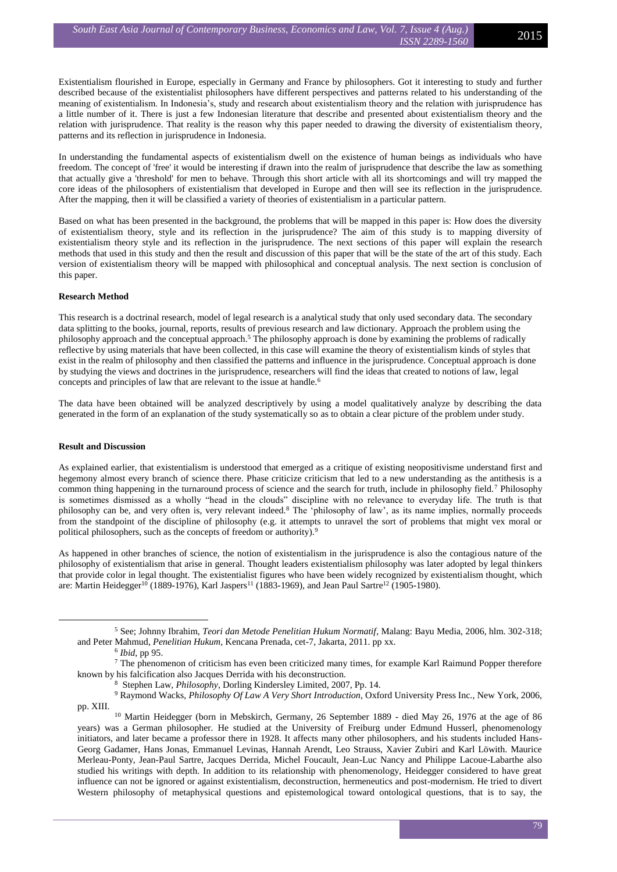Existentialism flourished in Europe, especially in Germany and France by philosophers. Got it interesting to study and further described because of the existentialist philosophers have different perspectives and patterns related to his understanding of the meaning of existentialism. In Indonesia's, study and research about existentialism theory and the relation with jurisprudence has a little number of it. There is just a few Indonesian literature that describe and presented about existentialism theory and the relation with jurisprudence. That reality is the reason why this paper needed to drawing the diversity of existentialism theory, patterns and its reflection in jurisprudence in Indonesia.

In understanding the fundamental aspects of existentialism dwell on the existence of human beings as individuals who have freedom. The concept of 'free' it would be interesting if drawn into the realm of jurisprudence that describe the law as something that actually give a 'threshold' for men to behave. Through this short article with all its shortcomings and will try mapped the core ideas of the philosophers of existentialism that developed in Europe and then will see its reflection in the jurisprudence. After the mapping, then it will be classified a variety of theories of existentialism in a particular pattern.

Based on what has been presented in the background, the problems that will be mapped in this paper is: How does the diversity of existentialism theory, style and its reflection in the jurisprudence? The aim of this study is to mapping diversity of existentialism theory style and its reflection in the jurisprudence. The next sections of this paper will explain the research methods that used in this study and then the result and discussion of this paper that will be the state of the art of this study. Each version of existentialism theory will be mapped with philosophical and conceptual analysis. The next section is conclusion of this paper.

# **Research Method**

This research is a doctrinal research, model of legal research is a analytical study that only used secondary data. The secondary data splitting to the books, journal, reports, results of previous research and law dictionary. Approach the problem using the philosophy approach and the conceptual approach.<sup>5</sup> The philosophy approach is done by examining the problems of radically reflective by using materials that have been collected, in this case will examine the theory of existentialism kinds of styles that exist in the realm of philosophy and then classified the patterns and influence in the jurisprudence. Conceptual approach is done by studying the views and doctrines in the jurisprudence, researchers will find the ideas that created to notions of law, legal concepts and principles of law that are relevant to the issue at handle.<sup>6</sup>

The data have been obtained will be analyzed descriptively by using a model qualitatively analyze by describing the data generated in the form of an explanation of the study systematically so as to obtain a clear picture of the problem under study.

## **Result and Discussion**

1

As explained earlier, that existentialism is understood that emerged as a critique of existing neopositivisme understand first and hegemony almost every branch of science there. Phase criticize criticism that led to a new understanding as the antithesis is a common thing happening in the turnaround process of science and the search for truth, include in philosophy field.<sup>7</sup> Philosophy is sometimes dismissed as a wholly "head in the clouds" discipline with no relevance to everyday life. The truth is that philosophy can be, and very often is, very relevant indeed.<sup>8</sup> The 'philosophy of law', as its name implies, normally proceeds from the standpoint of the discipline of philosophy (e.g. it attempts to unravel the sort of problems that might vex moral or political philosophers, such as the concepts of freedom or authority).<sup>9</sup>

As happened in other branches of science, the notion of existentialism in the jurisprudence is also the contagious nature of the philosophy of existentialism that arise in general. Thought leaders existentialism philosophy was later adopted by legal thinkers that provide color in legal thought. The existentialist figures who have been widely recognized by existentialism thought, which are: Martin Heidegger<sup>10</sup> (1889-1976), Karl Jaspers<sup>11</sup> (1883-1969), and Jean Paul Sartre<sup>12</sup> (1905-1980).

<sup>5</sup> See; Johnny Ibrahim, *Teori dan Metode Penelitian Hukum Normatif*, Malang: Bayu Media, 2006, hlm. 302-318; and Peter Mahmud, *Penelitian Hukum,* Kencana Prenada, cet-7, Jakarta, 2011. pp xx.

<sup>6</sup> *Ibid*, pp 95.

<sup>&</sup>lt;sup>7</sup> The phenomenon of criticism has even been criticized many times, for example Karl Raimund Popper therefore known by his falcification also Jacques Derrida with his deconstruction.

<sup>8</sup> Stephen Law, *Philosophy*, Dorling Kindersley Limited, 2007, Pp. 14.

<sup>9</sup> Raymond Wacks, *Philosophy Of Law A Very Short Introduction*, Oxford University Press Inc., New York, 2006, pp. XIII.

<sup>10</sup> Martin Heidegger (born in Mebskirch, Germany, 26 September 1889 - died May 26, 1976 at the age of 86 years) was a German philosopher. He studied at the University of Freiburg under Edmund Husserl, phenomenology initiators, and later became a professor there in 1928. It affects many other philosophers, and his students included Hans-Georg Gadamer, Hans Jonas, Emmanuel Levinas, Hannah Arendt, Leo Strauss, Xavier Zubiri and Karl Löwith. Maurice Merleau-Ponty, Jean-Paul Sartre, Jacques Derrida, Michel Foucault, Jean-Luc Nancy and Philippe Lacoue-Labarthe also studied his writings with depth. In addition to its relationship with phenomenology, Heidegger considered to have great influence can not be ignored or against existentialism, deconstruction, hermeneutics and post-modernism. He tried to divert Western philosophy of metaphysical questions and epistemological toward ontological questions, that is to say, the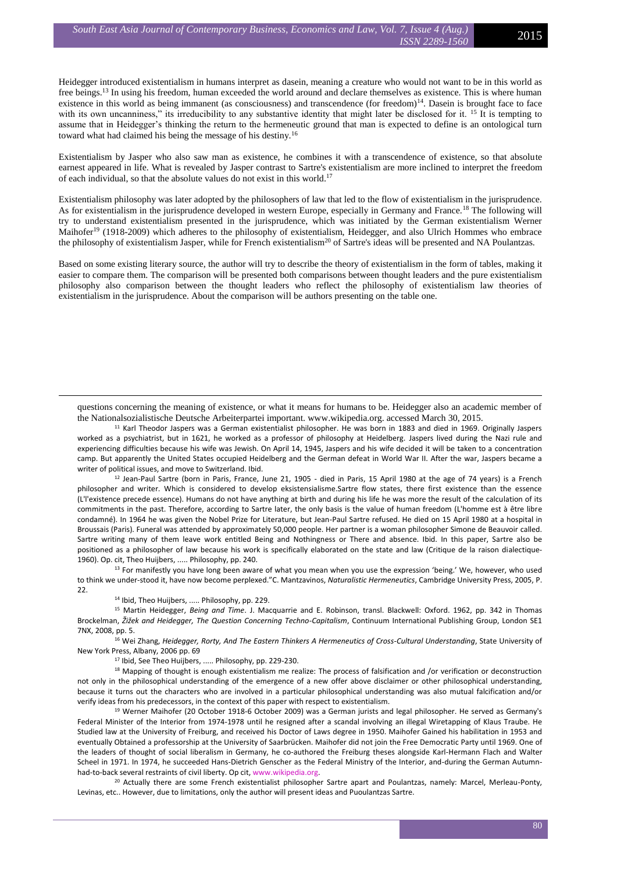Heidegger introduced existentialism in humans interpret as dasein, meaning a creature who would not want to be in this world as free beings.<sup>13</sup> In using his freedom, human exceeded the world around and declare themselves as existence. This is where human existence in this world as being immanent (as consciousness) and transcendence (for freedom) $<sup>14</sup>$ . Dasein is brought face to face</sup> with its own uncanniness," its irreducibility to any substantive identity that might later be disclosed for it. <sup>15</sup> It is tempting to assume that in Heidegger's thinking the return to the hermeneutic ground that man is expected to define is an ontological turn toward what had claimed his being the message of his destiny.<sup>16</sup>

Existentialism by Jasper who also saw man as existence, he combines it with a transcendence of existence, so that absolute earnest appeared in life. What is revealed by Jasper contrast to Sartre's existentialism are more inclined to interpret the freedom of each individual, so that the absolute values do not exist in this world.<sup>17</sup>

Existentialism philosophy was later adopted by the philosophers of law that led to the flow of existentialism in the jurisprudence. As for existentialism in the jurisprudence developed in western Europe, especially in Germany and France.<sup>18</sup> The following will try to understand existentialism presented in the jurisprudence, which was initiated by the German existentialism Werner Maihofer<sup>19</sup> (1918-2009) which adheres to the philosophy of existentialism, Heidegger, and also Ulrich Hommes who embrace the philosophy of existentialism Jasper, while for French existentialism<sup>20</sup> of Sartre's ideas will be presented and NA Poulantzas.

Based on some existing literary source, the author will try to describe the theory of existentialism in the form of tables, making it easier to compare them. The comparison will be presented both comparisons between thought leaders and the pure existentialism philosophy also comparison between the thought leaders who reflect the philosophy of existentialism law theories of existentialism in the jurisprudence. About the comparison will be authors presenting on the table one.

questions concerning the meaning of existence, or what it means for humans to be. Heidegger also an academic member of the Nationalsozialistische Deutsche Arbeiterpartei important. www.wikipedia.org. accessed March 30, 2015.

<sup>11</sup> Karl Theodor Jaspers was a German existentialist philosopher. He was born in 1883 and died in 1969. Originally Jaspers worked as a psychiatrist, but in 1621, he worked as a professor of philosophy at Heidelberg. Jaspers lived during the Nazi rule and experiencing difficulties because his wife was Jewish. On April 14, 1945, Jaspers and his wife decided it will be taken to a concentration camp. But apparently the United States occupied Heidelberg and the German defeat in World War II. After the war, Jaspers became a writer of political issues, and move to Switzerland. Ibid.

<sup>12</sup> Jean-Paul Sartre (born in Paris, France, June 21, 1905 - died in Paris, 15 April 1980 at the age of 74 years) is a French philosopher and writer. Which is considered to develop eksistensialisme.Sartre flow states, there first existence than the essence (L'l'existence precede essence). Humans do not have anything at birth and during his life he was more the result of the calculation of its commitments in the past. Therefore, according to Sartre later, the only basis is the value of human freedom (L'homme est à être libre condamné). In 1964 he was given the Nobel Prize for Literature, but Jean-Paul Sartre refused. He died on 15 April 1980 at a hospital in Broussais (Paris). Funeral was attended by approximately 50,000 people. Her partner is a woman philosopher Simone de Beauvoir called. Sartre writing many of them leave work entitled Being and Nothingness or There and absence. Ibid. In this paper, Sartre also be positioned as a philosopher of law because his work is specifically elaborated on the state and law (Critique de la raison dialectique-1960). Op. cit, Theo Huijbers, ..... Philosophy, pp. 240.

<sup>13</sup> For manifestly you have long been aware of what you mean when you use the expression 'being.' We, however, who used to think we under-stood it, have now become perplexed."C. Mantzavinos, *Naturalistic Hermeneutics*, Cambridge University Press, 2005, P. 22.

<sup>14</sup> Ibid, Theo Huijbers, ..... Philosophy, pp. 229.

<u>.</u>

<sup>15</sup> Martin Heidegger, *Being and Time*. J. Macquarrie and E. Robinson, transl. Blackwell: Oxford. 1962, pp. 342 in Thomas Brockelman, *Žižek and Heidegger, The Question Concerning Techno-Capitalism*, Continuum International Publishing Group, London SE1 7NX, 2008, pp. 5.

<sup>16</sup> Wei Zhang, *Heidegger, Rorty, And The Eastern Thinkers A Hermeneutics of Cross-Cultural Understanding*, State University of New York Press, Albany, 2006 pp. 69

<sup>17</sup> Ibid, See Theo Huijbers, ..... Philosophy, pp. 229-230.

<sup>18</sup> Mapping of thought is enough existentialism me realize: The process of falsification and /or verification or deconstruction not only in the philosophical understanding of the emergence of a new offer above disclaimer or other philosophical understanding, because it turns out the characters who are involved in a particular philosophical understanding was also mutual falcification and/or verify ideas from his predecessors, in the context of this paper with respect to existentialism.

<sup>19</sup> Werner Maihofer (20 October 1918-6 October 2009) was a German jurists and legal philosopher. He served as Germany's Federal Minister of the Interior from 1974-1978 until he resigned after a scandal involving an illegal Wiretapping of Klaus Traube. He Studied law at the University of Freiburg, and received his Doctor of Laws degree in 1950. Maihofer Gained his habilitation in 1953 and eventually Obtained a professorship at the University of Saarbrücken. Maihofer did not join the Free Democratic Party until 1969. One of the leaders of thought of social liberalism in Germany, he co-authored the Freiburg theses alongside Karl-Hermann Flach and Walter Scheel in 1971. In 1974, he succeeded Hans-Dietrich Genscher as the Federal Ministry of the Interior, and-during the German Autumnhad-to-back several restraints of civil liberty. Op cit[, www.wikipedia.org.](http://www.wikipedia.org/)

<sup>20</sup> Actually there are some French existentialist philosopher Sartre apart and Poulantzas, namely: Marcel, Merleau-Ponty, Levinas, etc.. However, due to limitations, only the author will present ideas and Puoulantzas Sartre.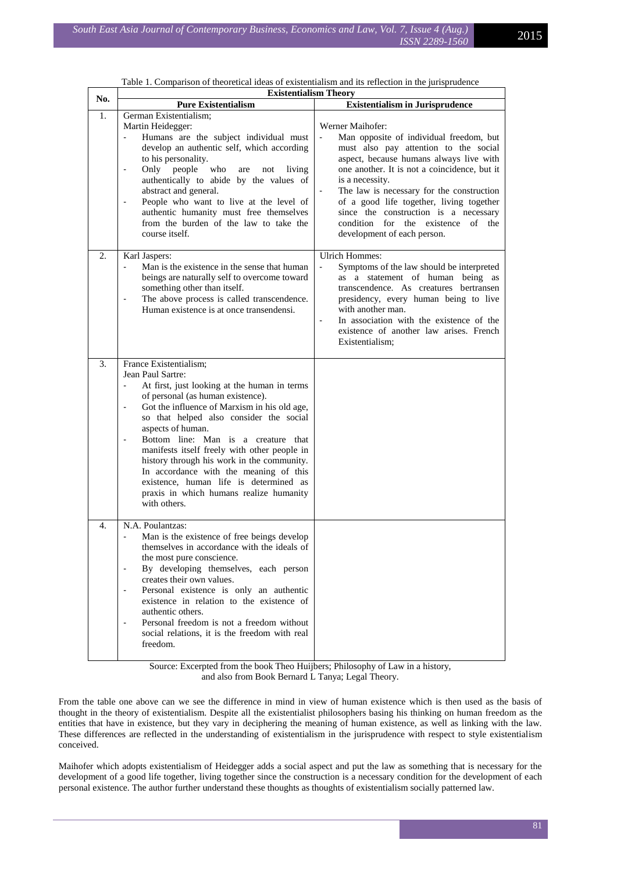|     | Table 1. Comparison of theoretical ideas of existentialism and its reflection in the jurisprudence                                                                                                                                                                                                                                                                                                                                                                                                                                                               |                                                                                                                                                                                                                                                                                                                                                                                                                                 |  |  |
|-----|------------------------------------------------------------------------------------------------------------------------------------------------------------------------------------------------------------------------------------------------------------------------------------------------------------------------------------------------------------------------------------------------------------------------------------------------------------------------------------------------------------------------------------------------------------------|---------------------------------------------------------------------------------------------------------------------------------------------------------------------------------------------------------------------------------------------------------------------------------------------------------------------------------------------------------------------------------------------------------------------------------|--|--|
| No. | <b>Existentialism Theory</b>                                                                                                                                                                                                                                                                                                                                                                                                                                                                                                                                     |                                                                                                                                                                                                                                                                                                                                                                                                                                 |  |  |
|     | <b>Pure Existentialism</b>                                                                                                                                                                                                                                                                                                                                                                                                                                                                                                                                       | <b>Existentialism in Jurisprudence</b>                                                                                                                                                                                                                                                                                                                                                                                          |  |  |
| 1.  | German Existentialism;<br>Martin Heidegger:<br>Humans are the subject individual must<br>develop an authentic self, which according<br>to his personality.<br>who<br>Only people<br>living<br>$\overline{\phantom{a}}$<br>are<br>not<br>authentically to abide by the values of<br>abstract and general.<br>People who want to live at the level of<br>$\overline{\phantom{a}}$<br>authentic humanity must free themselves<br>from the burden of the law to take the<br>course itself.                                                                           | Werner Maihofer:<br>Man opposite of individual freedom, but<br>must also pay attention to the social<br>aspect, because humans always live with<br>one another. It is not a coincidence, but it<br>is a necessity.<br>The law is necessary for the construction<br>of a good life together, living together<br>since the construction is a necessary<br>condition for the existence<br>of<br>the<br>development of each person. |  |  |
| 2.  | Karl Jaspers:<br>Man is the existence in the sense that human<br>beings are naturally self to overcome toward<br>something other than itself.<br>The above process is called transcendence.<br>$\overline{\phantom{a}}$<br>Human existence is at once transendensi.                                                                                                                                                                                                                                                                                              | <b>Ulrich Hommes:</b><br>Symptoms of the law should be interpreted<br>as a statement of human being as<br>transcendence. As creatures bertransen<br>presidency, every human being to live<br>with another man.<br>In association with the existence of the<br>$\overline{\phantom{a}}$<br>existence of another law arises. French<br>Existentialism:                                                                            |  |  |
| 3.  | France Existentialism;<br>Jean Paul Sartre:<br>At first, just looking at the human in terms<br>of personal (as human existence).<br>Got the influence of Marxism in his old age,<br>$\overline{\phantom{a}}$<br>so that helped also consider the social<br>aspects of human.<br>Bottom line: Man is a creature that<br>manifests itself freely with other people in<br>history through his work in the community.<br>In accordance with the meaning of this<br>existence, human life is determined as<br>praxis in which humans realize humanity<br>with others. |                                                                                                                                                                                                                                                                                                                                                                                                                                 |  |  |
| 4.  | N.A. Poulantzas:<br>Man is the existence of free beings develop<br>$\overline{\phantom{a}}$<br>themselves in accordance with the ideals of<br>the most pure conscience.<br>By developing themselves, each person<br>$\overline{\phantom{a}}$<br>creates their own values.<br>Personal existence is only an authentic<br>existence in relation to the existence of<br>authentic others.<br>Personal freedom is not a freedom without<br>$\blacksquare$<br>social relations, it is the freedom with real<br>freedom.                                               |                                                                                                                                                                                                                                                                                                                                                                                                                                 |  |  |

| Table 1. Comparison of theoretical ideas of existentialism and its reflection in the jurisprudence |  |  |
|----------------------------------------------------------------------------------------------------|--|--|
|----------------------------------------------------------------------------------------------------|--|--|

Source: Excerpted from the book Theo Huijbers; Philosophy of Law in a history, and also from Book Bernard L Tanya; Legal Theory.

From the table one above can we see the difference in mind in view of human existence which is then used as the basis of thought in the theory of existentialism. Despite all the existentialist philosophers basing his thinking on human freedom as the entities that have in existence, but they vary in deciphering the meaning of human existence, as well as linking with the law. These differences are reflected in the understanding of existentialism in the jurisprudence with respect to style existentialism conceived.

Maihofer which adopts existentialism of Heidegger adds a social aspect and put the law as something that is necessary for the development of a good life together, living together since the construction is a necessary condition for the development of each personal existence. The author further understand these thoughts as thoughts of existentialism socially patterned law.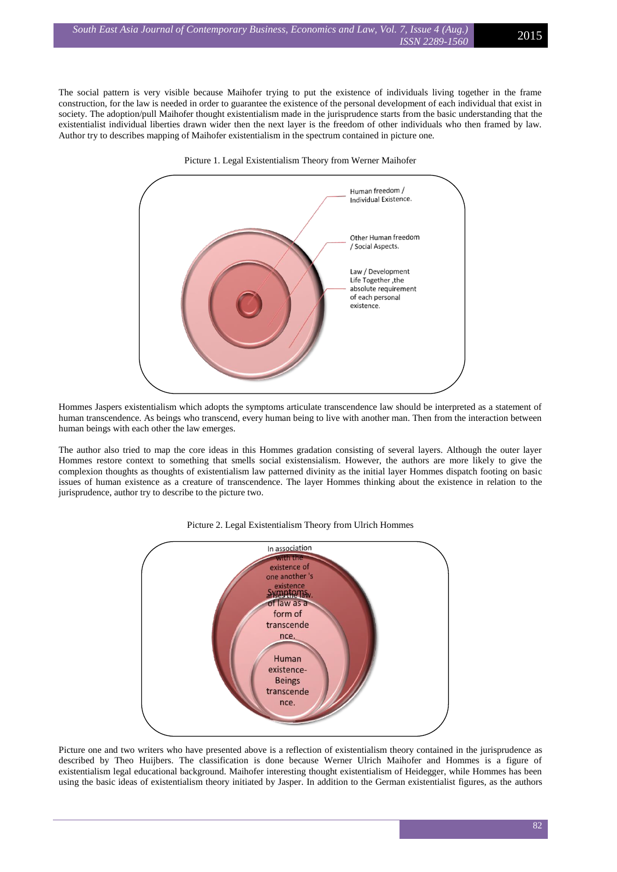The social pattern is very visible because Maihofer trying to put the existence of individuals living together in the frame construction, for the law is needed in order to guarantee the existence of the personal development of each individual that exist in society. The adoption/pull Maihofer thought existentialism made in the jurisprudence starts from the basic understanding that the existentialist individual liberties drawn wider then the next layer is the freedom of other individuals who then framed by law. Author try to describes mapping of Maihofer existentialism in the spectrum contained in picture one.



Picture 1. Legal Existentialism Theory from Werner Maihofer

Hommes Jaspers existentialism which adopts the symptoms articulate transcendence law should be interpreted as a statement of human transcendence. As beings who transcend, every human being to live with another man. Then from the interaction between human beings with each other the law emerges.

The author also tried to map the core ideas in this Hommes gradation consisting of several layers. Although the outer layer Hommes restore context to something that smells social existensialism. However, the authors are more likely to give the complexion thoughts as thoughts of existentialism law patterned divinity as the initial layer Hommes dispatch footing on basic issues of human existence as a creature of transcendence. The layer Hommes thinking about the existence in relation to the jurisprudence, author try to describe to the picture two.



## Picture 2. Legal Existentialism Theory from Ulrich Hommes

Picture one and two writers who have presented above is a reflection of existentialism theory contained in the jurisprudence as described by Theo Huijbers. The classification is done because Werner Ulrich Maihofer and Hommes is a figure of existentialism legal educational background. Maihofer interesting thought existentialism of Heidegger, while Hommes has been using the basic ideas of existentialism theory initiated by Jasper. In addition to the German existentialist figures, as the authors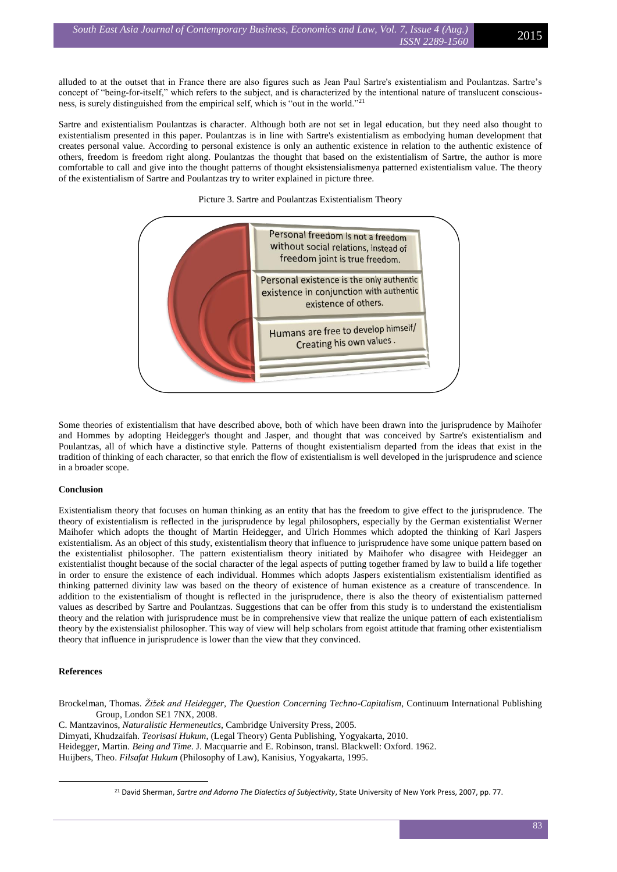alluded to at the outset that in France there are also figures such as Jean Paul Sartre's existentialism and Poulantzas. Sartre's concept of "being-for-itself," which refers to the subject, and is characterized by the intentional nature of translucent consciousness, is surely distinguished from the empirical self, which is "out in the world."<sup>21</sup>

Sartre and existentialism Poulantzas is character. Although both are not set in legal education, but they need also thought to existentialism presented in this paper. Poulantzas is in line with Sartre's existentialism as embodying human development that creates personal value. According to personal existence is only an authentic existence in relation to the authentic existence of others, freedom is freedom right along. Poulantzas the thought that based on the existentialism of Sartre, the author is more comfortable to call and give into the thought patterns of thought eksistensialismenya patterned existentialism value. The theory of the existentialism of Sartre and Poulantzas try to writer explained in picture three.

## Picture 3. Sartre and Poulantzas Existentialism Theory



Some theories of existentialism that have described above, both of which have been drawn into the jurisprudence by Maihofer and Hommes by adopting Heidegger's thought and Jasper, and thought that was conceived by Sartre's existentialism and Poulantzas, all of which have a distinctive style. Patterns of thought existentialism departed from the ideas that exist in the tradition of thinking of each character, so that enrich the flow of existentialism is well developed in the jurisprudence and science in a broader scope.

# **Conclusion**

Existentialism theory that focuses on human thinking as an entity that has the freedom to give effect to the jurisprudence. The theory of existentialism is reflected in the jurisprudence by legal philosophers, especially by the German existentialist Werner Maihofer which adopts the thought of Martin Heidegger, and Ulrich Hommes which adopted the thinking of Karl Jaspers existentialism. As an object of this study, existentialism theory that influence to jurisprudence have some unique pattern based on the existentialist philosopher. The pattern existentialism theory initiated by Maihofer who disagree with Heidegger an existentialist thought because of the social character of the legal aspects of putting together framed by law to build a life together in order to ensure the existence of each individual. Hommes which adopts Jaspers existentialism existentialism identified as thinking patterned divinity law was based on the theory of existence of human existence as a creature of transcendence. In addition to the existentialism of thought is reflected in the jurisprudence, there is also the theory of existentialism patterned values as described by Sartre and Poulantzas. Suggestions that can be offer from this study is to understand the existentialism theory and the relation with jurisprudence must be in comprehensive view that realize the unique pattern of each existentialism theory by the existensialist philosopher. This way of view will help scholars from egoist attitude that framing other existentialism theory that influence in jurisprudence is lower than the view that they convinced.

#### **References**

<u>.</u>

Brockelman, Thomas. *Žižek and Heidegger, The Question Concerning Techno-Capitalism*, Continuum International Publishing Group, London SE1 7NX, 2008.

C. Mantzavinos, *Naturalistic Hermeneutics*, Cambridge University Press, 2005.

Dimyati, Khudzaifah. *Teorisasi Hukum*, (Legal Theory) Genta Publishing, Yogyakarta, 2010.

Heidegger, Martin. *Being and Time*. J. Macquarrie and E. Robinson, transl. Blackwell: Oxford. 1962.

Huijbers, Theo. *Filsafat Hukum* (Philosophy of Law), Kanisius, Yogyakarta, 1995.

<sup>&</sup>lt;sup>21</sup> David Sherman, *Sartre and Adorno The Dialectics of Subjectivity*, State University of New York Press, 2007, pp. 77.